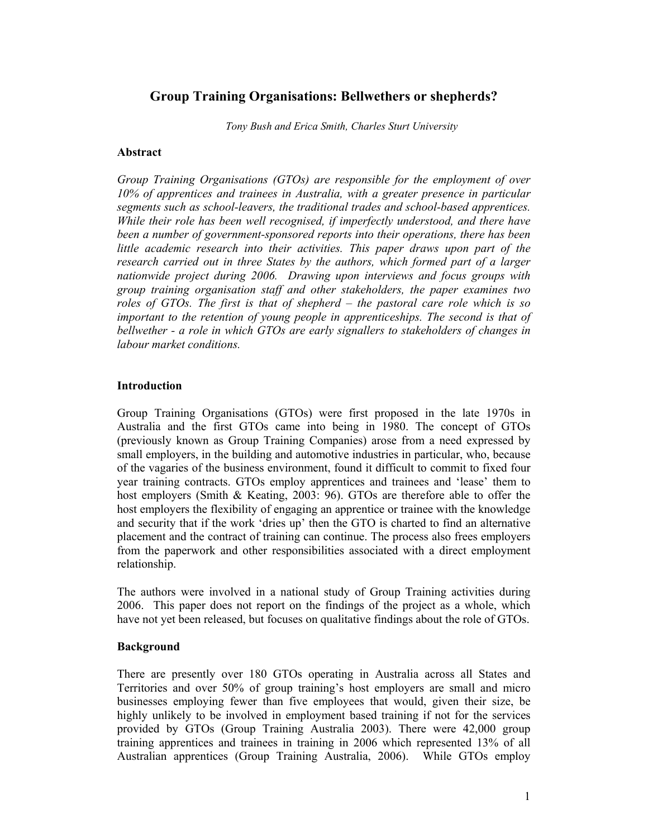# **Group Training Organisations: Bellwethers or shepherds?**

*Tony Bush and Erica Smith, Charles Sturt University* 

### **Abstract**

*Group Training Organisations (GTOs) are responsible for the employment of over 10% of apprentices and trainees in Australia, with a greater presence in particular segments such as school-leavers, the traditional trades and school-based apprentices. While their role has been well recognised, if imperfectly understood, and there have been a number of government-sponsored reports into their operations, there has been little academic research into their activities. This paper draws upon part of the research carried out in three States by the authors, which formed part of a larger nationwide project during 2006. Drawing upon interviews and focus groups with group training organisation staff and other stakeholders, the paper examines two roles of GTOs. The first is that of shepherd – the pastoral care role which is so important to the retention of young people in apprenticeships. The second is that of bellwether - a role in which GTOs are early signallers to stakeholders of changes in labour market conditions.* 

### **Introduction**

Group Training Organisations (GTOs) were first proposed in the late 1970s in Australia and the first GTOs came into being in 1980. The concept of GTOs (previously known as Group Training Companies) arose from a need expressed by small employers, in the building and automotive industries in particular, who, because of the vagaries of the business environment, found it difficult to commit to fixed four year training contracts. GTOs employ apprentices and trainees and 'lease' them to host employers (Smith & Keating, 2003: 96). GTOs are therefore able to offer the host employers the flexibility of engaging an apprentice or trainee with the knowledge and security that if the work 'dries up' then the GTO is charted to find an alternative placement and the contract of training can continue. The process also frees employers from the paperwork and other responsibilities associated with a direct employment relationship.

The authors were involved in a national study of Group Training activities during 2006. This paper does not report on the findings of the project as a whole, which have not yet been released, but focuses on qualitative findings about the role of GTOs.

### **Background**

There are presently over 180 GTOs operating in Australia across all States and Territories and over 50% of group training's host employers are small and micro businesses employing fewer than five employees that would, given their size, be highly unlikely to be involved in employment based training if not for the services provided by GTOs (Group Training Australia 2003). There were 42,000 group training apprentices and trainees in training in 2006 which represented 13% of all Australian apprentices (Group Training Australia, 2006). While GTOs employ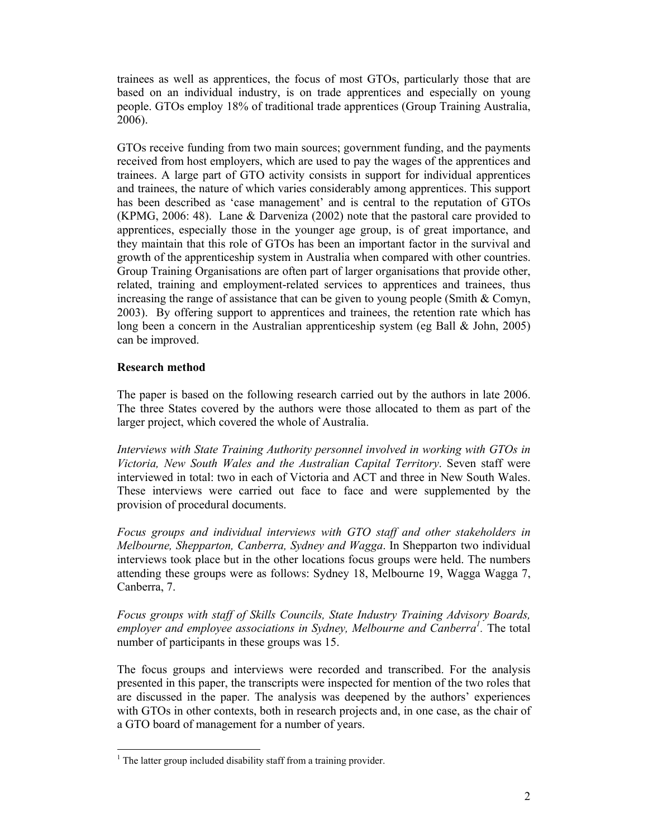trainees as well as apprentices, the focus of most GTOs, particularly those that are based on an individual industry, is on trade apprentices and especially on young people. GTOs employ 18% of traditional trade apprentices (Group Training Australia, 2006).

GTOs receive funding from two main sources; government funding, and the payments received from host employers, which are used to pay the wages of the apprentices and trainees. A large part of GTO activity consists in support for individual apprentices and trainees, the nature of which varies considerably among apprentices. This support has been described as 'case management' and is central to the reputation of GTOs (KPMG, 2006: 48). Lane & Darveniza (2002) note that the pastoral care provided to apprentices, especially those in the younger age group, is of great importance, and they maintain that this role of GTOs has been an important factor in the survival and growth of the apprenticeship system in Australia when compared with other countries. Group Training Organisations are often part of larger organisations that provide other, related, training and employment-related services to apprentices and trainees, thus increasing the range of assistance that can be given to young people (Smith  $\&$  Comyn, 2003). By offering support to apprentices and trainees, the retention rate which has long been a concern in the Australian apprenticeship system (eg Ball  $\&$  John, 2005) can be improved.

## **Research method**

l

The paper is based on the following research carried out by the authors in late 2006. The three States covered by the authors were those allocated to them as part of the larger project, which covered the whole of Australia.

*Interviews with State Training Authority personnel involved in working with GTOs in Victoria, New South Wales and the Australian Capital Territory*. Seven staff were interviewed in total: two in each of Victoria and ACT and three in New South Wales. These interviews were carried out face to face and were supplemented by the provision of procedural documents.

*Focus groups and individual interviews with GTO staff and other stakeholders in Melbourne, Shepparton, Canberra, Sydney and Wagga*. In Shepparton two individual interviews took place but in the other locations focus groups were held. The numbers attending these groups were as follows: Sydney 18, Melbourne 19, Wagga Wagga 7, Canberra, 7.

*Focus groups with staff of Skills Councils, State Industry Training Advisory Boards,*  employer and employee associations in Sydney, Melbourne and Canberra<sup>1</sup>. The total number of participants in these groups was 15.

The focus groups and interviews were recorded and transcribed. For the analysis presented in this paper, the transcripts were inspected for mention of the two roles that are discussed in the paper. The analysis was deepened by the authors' experiences with GTOs in other contexts, both in research projects and, in one case, as the chair of a GTO board of management for a number of years.

 $<sup>1</sup>$  The latter group included disability staff from a training provider.</sup>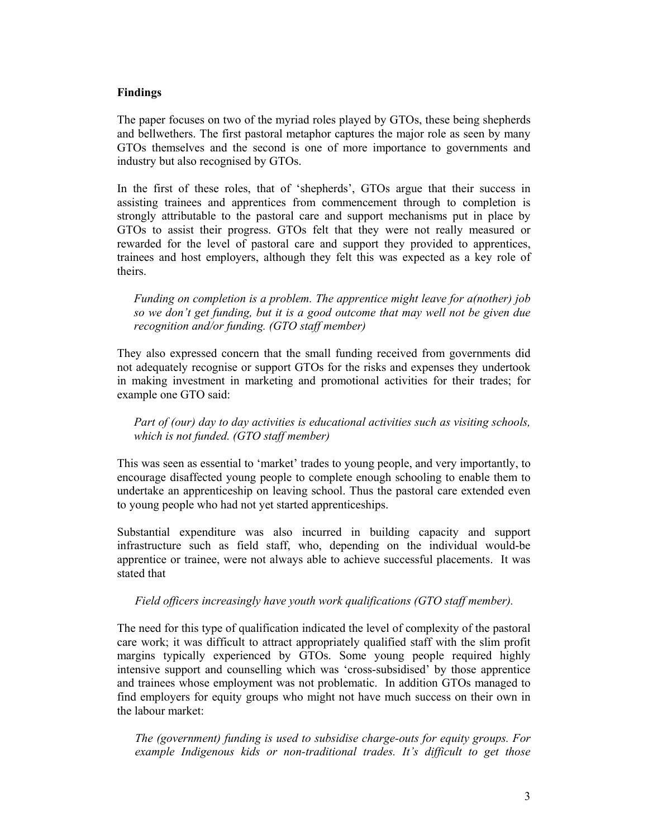### **Findings**

The paper focuses on two of the myriad roles played by GTOs, these being shepherds and bellwethers. The first pastoral metaphor captures the major role as seen by many GTOs themselves and the second is one of more importance to governments and industry but also recognised by GTOs.

In the first of these roles, that of 'shepherds', GTOs argue that their success in assisting trainees and apprentices from commencement through to completion is strongly attributable to the pastoral care and support mechanisms put in place by GTOs to assist their progress. GTOs felt that they were not really measured or rewarded for the level of pastoral care and support they provided to apprentices, trainees and host employers, although they felt this was expected as a key role of theirs.

*Funding on completion is a problem. The apprentice might leave for a(nother) job so we don't get funding, but it is a good outcome that may well not be given due recognition and/or funding. (GTO staff member)* 

They also expressed concern that the small funding received from governments did not adequately recognise or support GTOs for the risks and expenses they undertook in making investment in marketing and promotional activities for their trades; for example one GTO said:

*Part of (our) day to day activities is educational activities such as visiting schools, which is not funded. (GTO staff member)* 

This was seen as essential to 'market' trades to young people, and very importantly, to encourage disaffected young people to complete enough schooling to enable them to undertake an apprenticeship on leaving school. Thus the pastoral care extended even to young people who had not yet started apprenticeships.

Substantial expenditure was also incurred in building capacity and support infrastructure such as field staff, who, depending on the individual would-be apprentice or trainee, were not always able to achieve successful placements. It was stated that

*Field officers increasingly have youth work qualifications (GTO staff member).* 

The need for this type of qualification indicated the level of complexity of the pastoral care work; it was difficult to attract appropriately qualified staff with the slim profit margins typically experienced by GTOs. Some young people required highly intensive support and counselling which was 'cross-subsidised' by those apprentice and trainees whose employment was not problematic. In addition GTOs managed to find employers for equity groups who might not have much success on their own in the labour market:

*The (government) funding is used to subsidise charge-outs for equity groups. For example Indigenous kids or non-traditional trades. It's difficult to get those*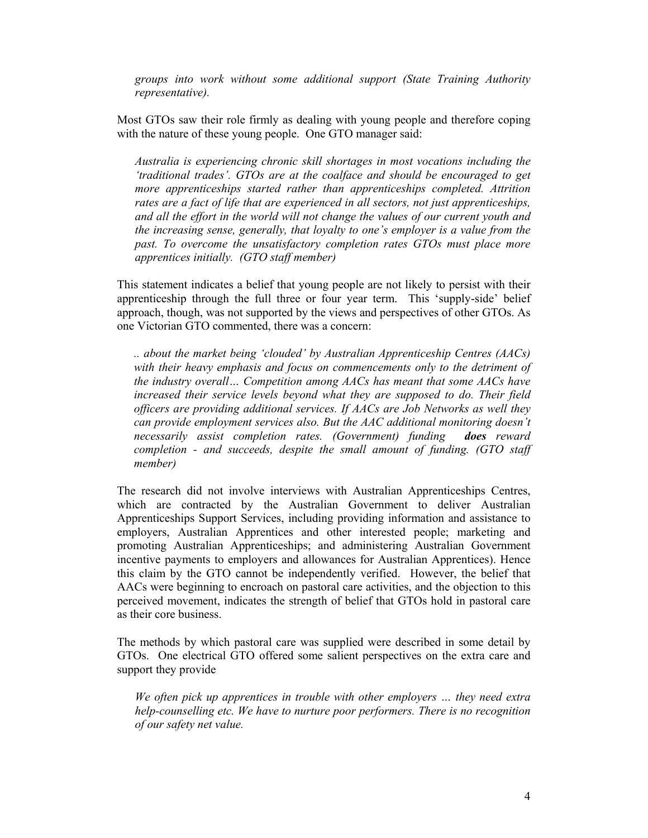*groups into work without some additional support (State Training Authority representative).* 

Most GTOs saw their role firmly as dealing with young people and therefore coping with the nature of these young people. One GTO manager said:

*Australia is experiencing chronic skill shortages in most vocations including the 'traditional trades'. GTOs are at the coalface and should be encouraged to get more apprenticeships started rather than apprenticeships completed. Attrition rates are a fact of life that are experienced in all sectors, not just apprenticeships, and all the effort in the world will not change the values of our current youth and the increasing sense, generally, that loyalty to one's employer is a value from the past. To overcome the unsatisfactory completion rates GTOs must place more apprentices initially. (GTO staff member)* 

This statement indicates a belief that young people are not likely to persist with their apprenticeship through the full three or four year term. This 'supply-side' belief approach, though, was not supported by the views and perspectives of other GTOs. As one Victorian GTO commented, there was a concern:

*.. about the market being 'clouded' by Australian Apprenticeship Centres (AACs) with their heavy emphasis and focus on commencements only to the detriment of the industry overall… Competition among AACs has meant that some AACs have increased their service levels beyond what they are supposed to do. Their field officers are providing additional services. If AACs are Job Networks as well they can provide employment services also. But the AAC additional monitoring doesn't necessarily assist completion rates. (Government) funding does reward completion - and succeeds, despite the small amount of funding. (GTO staff member)* 

The research did not involve interviews with Australian Apprenticeships Centres, which are contracted by the Australian Government to deliver Australian Apprenticeships Support Services, including providing information and assistance to employers, Australian Apprentices and other interested people; marketing and promoting Australian Apprenticeships; and administering Australian Government incentive payments to employers and allowances for Australian Apprentices). Hence this claim by the GTO cannot be independently verified. However, the belief that AACs were beginning to encroach on pastoral care activities, and the objection to this perceived movement, indicates the strength of belief that GTOs hold in pastoral care as their core business.

The methods by which pastoral care was supplied were described in some detail by GTOs. One electrical GTO offered some salient perspectives on the extra care and support they provide

*We often pick up apprentices in trouble with other employers … they need extra help-counselling etc. We have to nurture poor performers. There is no recognition of our safety net value.*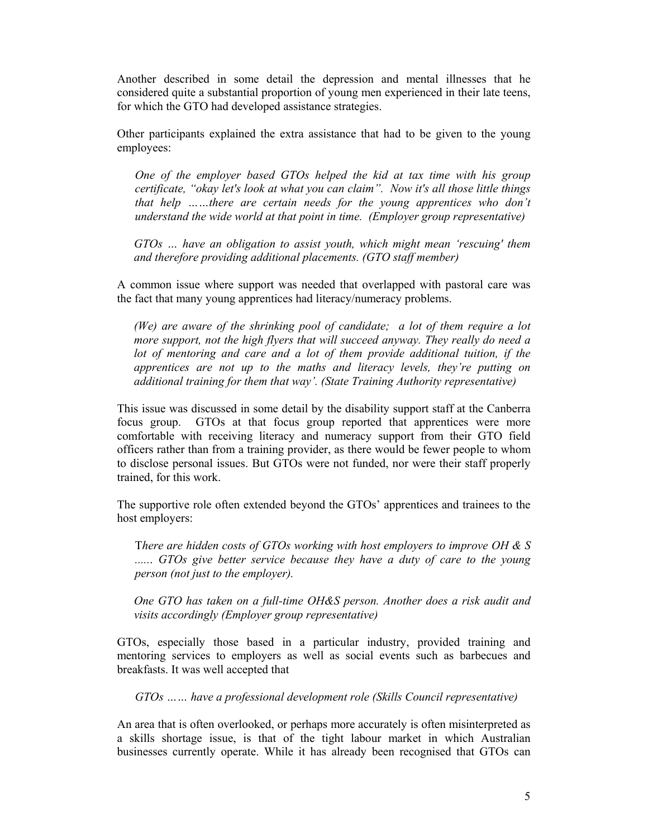Another described in some detail the depression and mental illnesses that he considered quite a substantial proportion of young men experienced in their late teens, for which the GTO had developed assistance strategies.

Other participants explained the extra assistance that had to be given to the young employees:

*One of the employer based GTOs helped the kid at tax time with his group certificate, "okay let's look at what you can claim". Now it's all those little things that help ……there are certain needs for the young apprentices who don't understand the wide world at that point in time. (Employer group representative)* 

*GTOs … have an obligation to assist youth, which might mean 'rescuing' them and therefore providing additional placements. (GTO staff member)* 

A common issue where support was needed that overlapped with pastoral care was the fact that many young apprentices had literacy/numeracy problems.

*(We) are aware of the shrinking pool of candidate; a lot of them require a lot more support, not the high flyers that will succeed anyway. They really do need a lot of mentoring and care and a lot of them provide additional tuition, if the apprentices are not up to the maths and literacy levels, they're putting on additional training for them that way'. (State Training Authority representative)* 

This issue was discussed in some detail by the disability support staff at the Canberra focus group. GTOs at that focus group reported that apprentices were more comfortable with receiving literacy and numeracy support from their GTO field officers rather than from a training provider, as there would be fewer people to whom to disclose personal issues. But GTOs were not funded, nor were their staff properly trained, for this work.

The supportive role often extended beyond the GTOs' apprentices and trainees to the host employers:

T*here are hidden costs of GTOs working with host employers to improve OH & S .....*. *GTOs give better service because they have a duty of care to the young person (not just to the employer).* 

*One GTO has taken on a full-time OH&S person. Another does a risk audit and visits accordingly (Employer group representative)* 

GTOs, especially those based in a particular industry, provided training and mentoring services to employers as well as social events such as barbecues and breakfasts. It was well accepted that

*GTOs …… have a professional development role (Skills Council representative)* 

An area that is often overlooked, or perhaps more accurately is often misinterpreted as a skills shortage issue, is that of the tight labour market in which Australian businesses currently operate. While it has already been recognised that GTOs can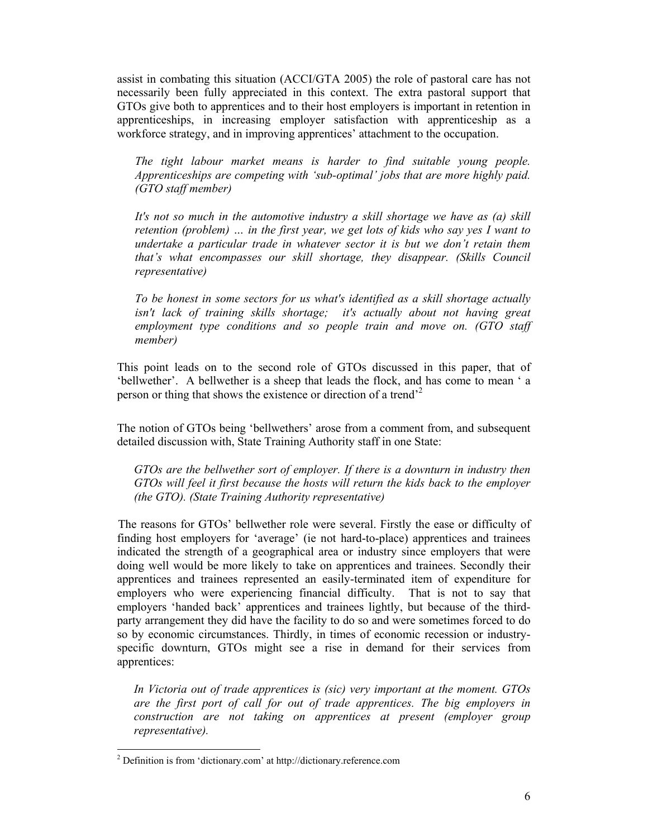assist in combating this situation (ACCI/GTA 2005) the role of pastoral care has not necessarily been fully appreciated in this context. The extra pastoral support that GTOs give both to apprentices and to their host employers is important in retention in apprenticeships, in increasing employer satisfaction with apprenticeship as a workforce strategy, and in improving apprentices' attachment to the occupation.

*The tight labour market means is harder to find suitable young people. Apprenticeships are competing with 'sub-optimal' jobs that are more highly paid. (GTO staff member)* 

*It's not so much in the automotive industry a skill shortage we have as (a) skill retention (problem) … in the first year, we get lots of kids who say yes I want to undertake a particular trade in whatever sector it is but we don't retain them that's what encompasses our skill shortage, they disappear. (Skills Council representative)* 

*To be honest in some sectors for us what's identified as a skill shortage actually*  isn't lack of training skills shortage; it's actually about not having great *employment type conditions and so people train and move on. (GTO staff member)* 

This point leads on to the second role of GTOs discussed in this paper, that of 'bellwether'. A bellwether is a sheep that leads the flock, and has come to mean ' a person or thing that shows the existence or direction of a trend'2

The notion of GTOs being 'bellwethers' arose from a comment from, and subsequent detailed discussion with, State Training Authority staff in one State:

*GTOs are the bellwether sort of employer. If there is a downturn in industry then GTOs will feel it first because the hosts will return the kids back to the employer (the GTO). (State Training Authority representative)* 

The reasons for GTOs' bellwether role were several. Firstly the ease or difficulty of finding host employers for 'average' (ie not hard-to-place) apprentices and trainees indicated the strength of a geographical area or industry since employers that were doing well would be more likely to take on apprentices and trainees. Secondly their apprentices and trainees represented an easily-terminated item of expenditure for employers who were experiencing financial difficulty. That is not to say that employers 'handed back' apprentices and trainees lightly, but because of the thirdparty arrangement they did have the facility to do so and were sometimes forced to do so by economic circumstances. Thirdly, in times of economic recession or industryspecific downturn, GTOs might see a rise in demand for their services from apprentices:

*In Victoria out of trade apprentices is (sic) very important at the moment. GTOs are the first port of call for out of trade apprentices. The big employers in construction are not taking on apprentices at present (employer group representative).* 

l

 $2^{2}$  Definition is from 'dictionary.com' at http://dictionary.reference.com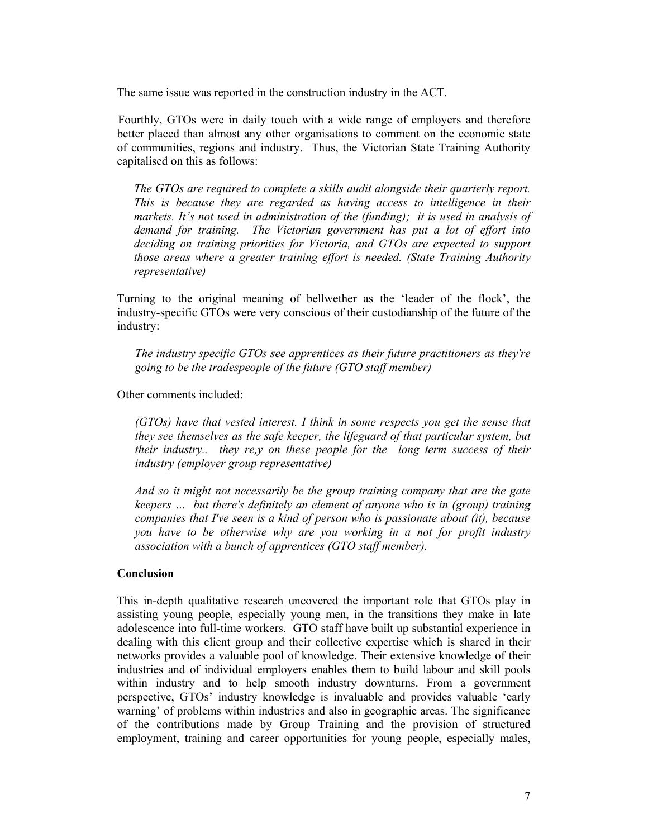The same issue was reported in the construction industry in the ACT.

Fourthly, GTOs were in daily touch with a wide range of employers and therefore better placed than almost any other organisations to comment on the economic state of communities, regions and industry. Thus, the Victorian State Training Authority capitalised on this as follows:

*The GTOs are required to complete a skills audit alongside their quarterly report. This is because they are regarded as having access to intelligence in their markets. It's not used in administration of the (funding); it is used in analysis of demand for training. The Victorian government has put a lot of effort into deciding on training priorities for Victoria, and GTOs are expected to support those areas where a greater training effort is needed. (State Training Authority representative)* 

Turning to the original meaning of bellwether as the 'leader of the flock', the industry-specific GTOs were very conscious of their custodianship of the future of the industry:

*The industry specific GTOs see apprentices as their future practitioners as they're going to be the tradespeople of the future (GTO staff member)* 

Other comments included:

*(GTOs) have that vested interest. I think in some respects you get the sense that they see themselves as the safe keeper, the lifeguard of that particular system, but their industry.. they re,y on these people for the long term success of their industry (employer group representative)* 

*And so it might not necessarily be the group training company that are the gate keepers … but there's definitely an element of anyone who is in (group) training companies that I've seen is a kind of person who is passionate about (it), because you have to be otherwise why are you working in a not for profit industry association with a bunch of apprentices (GTO staff member).* 

### **Conclusion**

This in-depth qualitative research uncovered the important role that GTOs play in assisting young people, especially young men, in the transitions they make in late adolescence into full-time workers. GTO staff have built up substantial experience in dealing with this client group and their collective expertise which is shared in their networks provides a valuable pool of knowledge. Their extensive knowledge of their industries and of individual employers enables them to build labour and skill pools within industry and to help smooth industry downturns. From a government perspective, GTOs' industry knowledge is invaluable and provides valuable 'early warning' of problems within industries and also in geographic areas. The significance of the contributions made by Group Training and the provision of structured employment, training and career opportunities for young people, especially males,